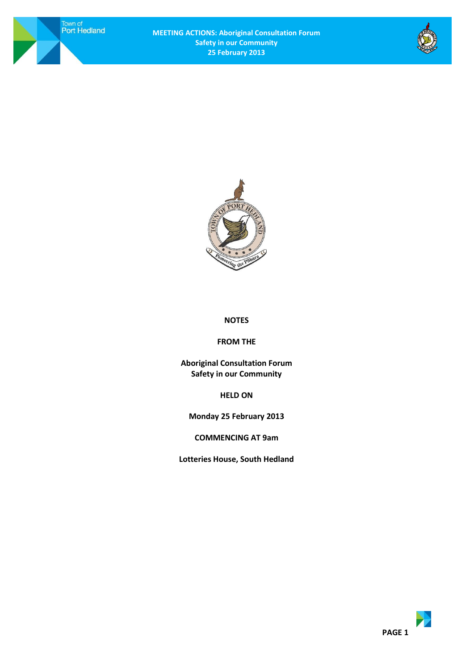Town of<br>Port Hedland





# **NOTES**

#### **FROM THE**

**Aboriginal Consultation Forum Safety in our Community**

**HELD ON**

**Monday 25 February 2013**

**COMMENCING AT 9am**

**Lotteries House, South Hedland**

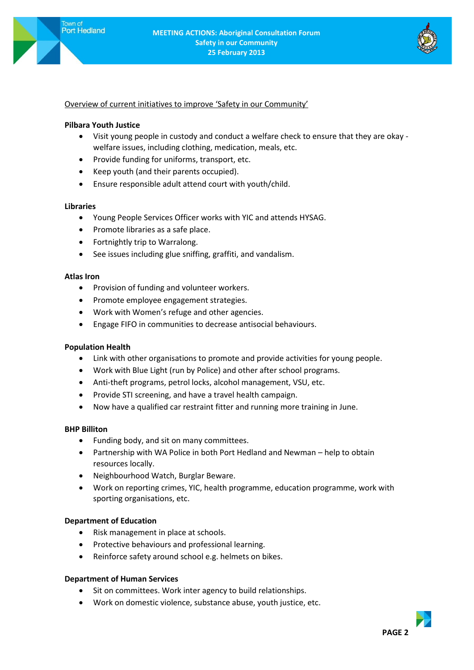

## Overview of current initiatives to improve 'Safety in our Community'

### **Pilbara Youth Justice**

- Visit young people in custody and conduct a welfare check to ensure that they are okay welfare issues, including clothing, medication, meals, etc.
- Provide funding for uniforms, transport, etc.
- Keep youth (and their parents occupied).
- Ensure responsible adult attend court with youth/child.

#### **Libraries**

- Young People Services Officer works with YIC and attends HYSAG.
- Promote libraries as a safe place.
- Fortnightly trip to Warralong.
- See issues including glue sniffing, graffiti, and vandalism.

#### **Atlas Iron**

- Provision of funding and volunteer workers.
- Promote employee engagement strategies.
- Work with Women's refuge and other agencies.
- Engage FIFO in communities to decrease antisocial behaviours.

### **Population Health**

- Link with other organisations to promote and provide activities for young people.
- Work with Blue Light (run by Police) and other after school programs.
- Anti-theft programs, petrol locks, alcohol management, VSU, etc.
- Provide STI screening, and have a travel health campaign.
- Now have a qualified car restraint fitter and running more training in June.

### **BHP Billiton**

- Funding body, and sit on many committees.
- Partnership with WA Police in both Port Hedland and Newman help to obtain resources locally.
- Neighbourhood Watch, Burglar Beware.
- Work on reporting crimes, YIC, health programme, education programme, work with sporting organisations, etc.

### **Department of Education**

- Risk management in place at schools.
- Protective behaviours and professional learning.
- Reinforce safety around school e.g. helmets on bikes.

### **Department of Human Services**

- Sit on committees. Work inter agency to build relationships.
- Work on domestic violence, substance abuse, youth justice, etc.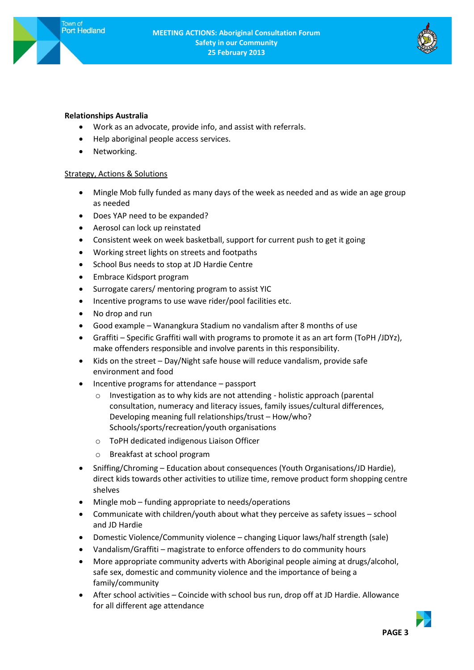

### **Relationships Australia**

- Work as an advocate, provide info, and assist with referrals.
- Help aboriginal people access services.
- Networking.

#### Strategy, Actions & Solutions

- Mingle Mob fully funded as many days of the week as needed and as wide an age group as needed
- Does YAP need to be expanded?
- Aerosol can lock up reinstated
- Consistent week on week basketball, support for current push to get it going
- Working street lights on streets and footpaths
- School Bus needs to stop at JD Hardie Centre
- Embrace Kidsport program
- Surrogate carers/ mentoring program to assist YIC
- Incentive programs to use wave rider/pool facilities etc.
- No drop and run
- Good example Wanangkura Stadium no vandalism after 8 months of use
- Graffiti Specific Graffiti wall with programs to promote it as an art form (ToPH /JDYz), make offenders responsible and involve parents in this responsibility.
- Kids on the street Day/Night safe house will reduce vandalism, provide safe environment and food
- Incentive programs for attendance passport
	- o Investigation as to why kids are not attending holistic approach (parental consultation, numeracy and literacy issues, family issues/cultural differences, Developing meaning full relationships/trust – How/who? Schools/sports/recreation/youth organisations
	- o ToPH dedicated indigenous Liaison Officer
	- o Breakfast at school program
- Sniffing/Chroming Education about consequences (Youth Organisations/JD Hardie), direct kids towards other activities to utilize time, remove product form shopping centre shelves
- Mingle mob funding appropriate to needs/operations
- Communicate with children/youth about what they perceive as safety issues school and JD Hardie
- Domestic Violence/Community violence changing Liquor laws/half strength (sale)
- Vandalism/Graffiti magistrate to enforce offenders to do community hours
- More appropriate community adverts with Aboriginal people aiming at drugs/alcohol, safe sex, domestic and community violence and the importance of being a family/community
- After school activities Coincide with school bus run, drop off at JD Hardie. Allowance for all different age attendance

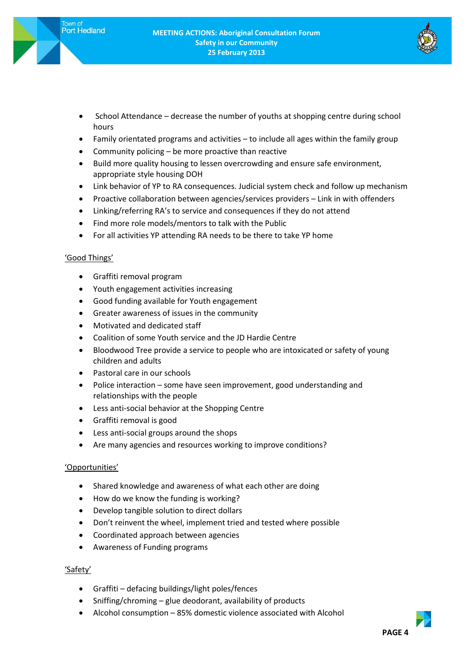

- School Attendance decrease the number of youths at shopping centre during school hours
- Family orientated programs and activities to include all ages within the family group
- Community policing be more proactive than reactive
- Build more quality housing to lessen overcrowding and ensure safe environment, appropriate style housing DOH
- Link behavior of YP to RA consequences. Judicial system check and follow up mechanism
- Proactive collaboration between agencies/services providers Link in with offenders
- Linking/referring RA's to service and consequences if they do not attend
- Find more role models/mentors to talk with the Public
- For all activities YP attending RA needs to be there to take YP home

### 'Good Things'

- Graffiti removal program
- Youth engagement activities increasing
- Good funding available for Youth engagement
- Greater awareness of issues in the community
- Motivated and dedicated staff
- Coalition of some Youth service and the JD Hardie Centre
- Bloodwood Tree provide a service to people who are intoxicated or safety of young children and adults
- Pastoral care in our schools
- Police interaction some have seen improvement, good understanding and relationships with the people
- Less anti-social behavior at the Shopping Centre
- Graffiti removal is good
- Less anti-social groups around the shops
- Are many agencies and resources working to improve conditions?

### 'Opportunities'

- Shared knowledge and awareness of what each other are doing
- How do we know the funding is working?
- Develop tangible solution to direct dollars
- Don't reinvent the wheel, implement tried and tested where possible
- Coordinated approach between agencies
- Awareness of Funding programs

### 'Safety'

- Graffiti defacing buildings/light poles/fences
- Sniffing/chroming glue deodorant, availability of products
- Alcohol consumption 85% domestic violence associated with Alcohol